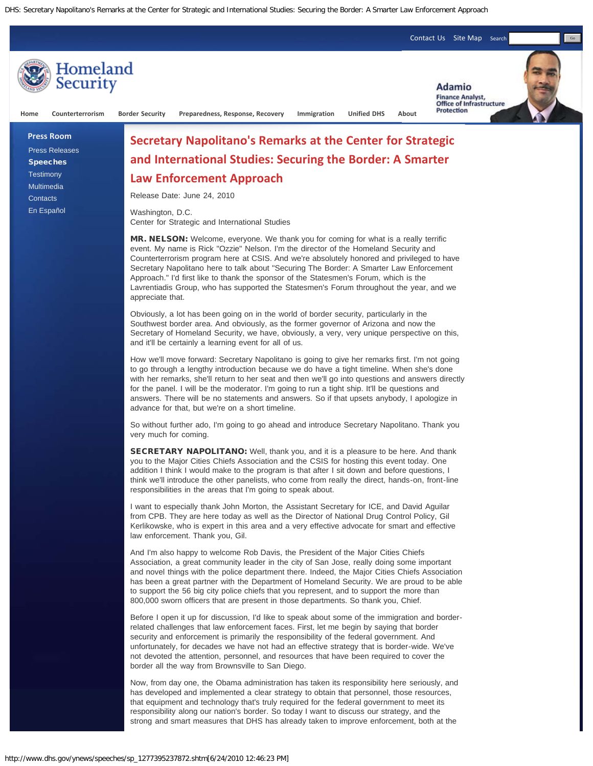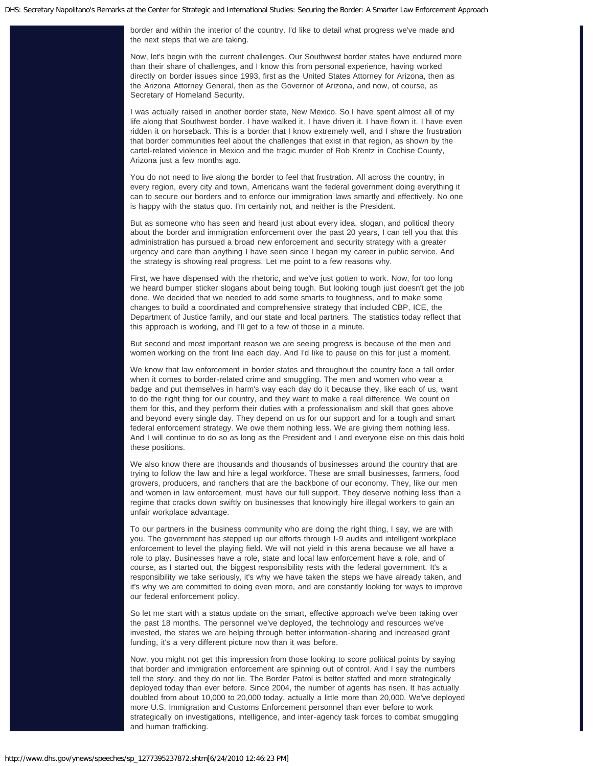border and within the interior of the country. I'd like to detail what progress we've made and the next steps that we are taking.

Now, let's begin with the current challenges. Our Southwest border states have endured more than their share of challenges, and I know this from personal experience, having worked directly on border issues since 1993, first as the United States Attorney for Arizona, then as the Arizona Attorney General, then as the Governor of Arizona, and now, of course, as Secretary of Homeland Security.

I was actually raised in another border state, New Mexico. So I have spent almost all of my life along that Southwest border. I have walked it. I have driven it. I have flown it. I have even ridden it on horseback. This is a border that I know extremely well, and I share the frustration that border communities feel about the challenges that exist in that region, as shown by the cartel-related violence in Mexico and the tragic murder of Rob Krentz in Cochise County, Arizona just a few months ago.

You do not need to live along the border to feel that frustration. All across the country, in every region, every city and town, Americans want the federal government doing everything it can to secure our borders and to enforce our immigration laws smartly and effectively. No one is happy with the status quo. I'm certainly not, and neither is the President.

But as someone who has seen and heard just about every idea, slogan, and political theory about the border and immigration enforcement over the past 20 years, I can tell you that this administration has pursued a broad new enforcement and security strategy with a greater urgency and care than anything I have seen since I began my career in public service. And the strategy is showing real progress. Let me point to a few reasons why.

First, we have dispensed with the rhetoric, and we've just gotten to work. Now, for too long we heard bumper sticker slogans about being tough. But looking tough just doesn't get the job done. We decided that we needed to add some smarts to toughness, and to make some changes to build a coordinated and comprehensive strategy that included CBP, ICE, the Department of Justice family, and our state and local partners. The statistics today reflect that this approach is working, and I'll get to a few of those in a minute.

But second and most important reason we are seeing progress is because of the men and women working on the front line each day. And I'd like to pause on this for just a moment.

We know that law enforcement in border states and throughout the country face a tall order when it comes to border-related crime and smuggling. The men and women who wear a badge and put themselves in harm's way each day do it because they, like each of us, want to do the right thing for our country, and they want to make a real difference. We count on them for this, and they perform their duties with a professionalism and skill that goes above and beyond every single day. They depend on us for our support and for a tough and smart federal enforcement strategy. We owe them nothing less. We are giving them nothing less. And I will continue to do so as long as the President and I and everyone else on this dais hold these positions.

We also know there are thousands and thousands of businesses around the country that are trying to follow the law and hire a legal workforce. These are small businesses, farmers, food growers, producers, and ranchers that are the backbone of our economy. They, like our men and women in law enforcement, must have our full support. They deserve nothing less than a regime that cracks down swiftly on businesses that knowingly hire illegal workers to gain an unfair workplace advantage.

To our partners in the business community who are doing the right thing, I say, we are with you. The government has stepped up our efforts through I-9 audits and intelligent workplace enforcement to level the playing field. We will not yield in this arena because we all have a role to play. Businesses have a role, state and local law enforcement have a role, and of course, as I started out, the biggest responsibility rests with the federal government. It's a responsibility we take seriously, it's why we have taken the steps we have already taken, and it's why we are committed to doing even more, and are constantly looking for ways to improve our federal enforcement policy.

So let me start with a status update on the smart, effective approach we've been taking over the past 18 months. The personnel we've deployed, the technology and resources we've invested, the states we are helping through better information-sharing and increased grant funding, it's a very different picture now than it was before.

Now, you might not get this impression from those looking to score political points by saying that border and immigration enforcement are spinning out of control. And I say the numbers tell the story, and they do not lie. The Border Patrol is better staffed and more strategically deployed today than ever before. Since 2004, the number of agents has risen. It has actually doubled from about 10,000 to 20,000 today, actually a little more than 20,000. We've deployed more U.S. Immigration and Customs Enforcement personnel than ever before to work strategically on investigations, intelligence, and inter-agency task forces to combat smuggling and human trafficking.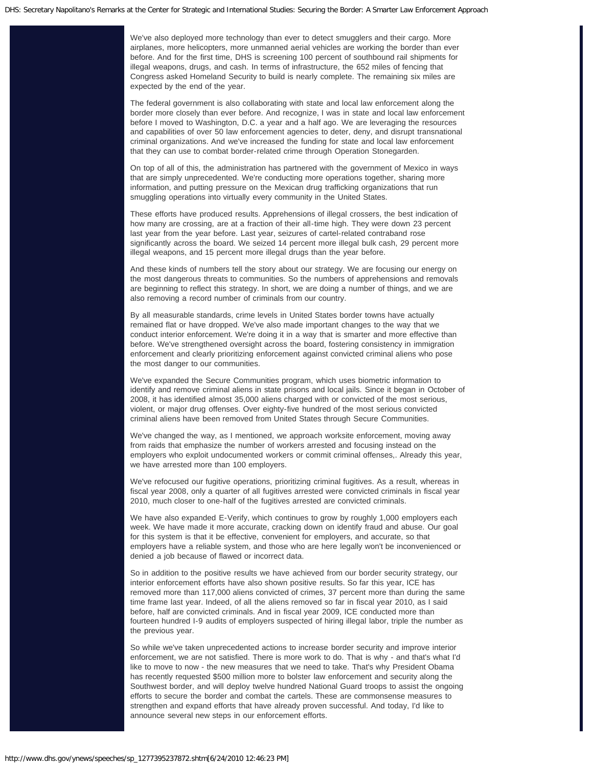We've also deployed more technology than ever to detect smugglers and their cargo. More airplanes, more helicopters, more unmanned aerial vehicles are working the border than ever before. And for the first time, DHS is screening 100 percent of southbound rail shipments for illegal weapons, drugs, and cash. In terms of infrastructure, the 652 miles of fencing that Congress asked Homeland Security to build is nearly complete. The remaining six miles are expected by the end of the year.

The federal government is also collaborating with state and local law enforcement along the border more closely than ever before. And recognize, I was in state and local law enforcement before I moved to Washington, D.C. a year and a half ago. We are leveraging the resources and capabilities of over 50 law enforcement agencies to deter, deny, and disrupt transnational criminal organizations. And we've increased the funding for state and local law enforcement that they can use to combat border-related crime through Operation Stonegarden.

On top of all of this, the administration has partnered with the government of Mexico in ways that are simply unprecedented. We're conducting more operations together, sharing more information, and putting pressure on the Mexican drug trafficking organizations that run smuggling operations into virtually every community in the United States.

These efforts have produced results. Apprehensions of illegal crossers, the best indication of how many are crossing, are at a fraction of their all-time high. They were down 23 percent last year from the year before. Last year, seizures of cartel-related contraband rose significantly across the board. We seized 14 percent more illegal bulk cash, 29 percent more illegal weapons, and 15 percent more illegal drugs than the year before.

And these kinds of numbers tell the story about our strategy. We are focusing our energy on the most dangerous threats to communities. So the numbers of apprehensions and removals are beginning to reflect this strategy. In short, we are doing a number of things, and we are also removing a record number of criminals from our country.

By all measurable standards, crime levels in United States border towns have actually remained flat or have dropped. We've also made important changes to the way that we conduct interior enforcement. We're doing it in a way that is smarter and more effective than before. We've strengthened oversight across the board, fostering consistency in immigration enforcement and clearly prioritizing enforcement against convicted criminal aliens who pose the most danger to our communities.

We've expanded the Secure Communities program, which uses biometric information to identify and remove criminal aliens in state prisons and local jails. Since it began in October of 2008, it has identified almost 35,000 aliens charged with or convicted of the most serious, violent, or major drug offenses. Over eighty-five hundred of the most serious convicted criminal aliens have been removed from United States through Secure Communities.

We've changed the way, as I mentioned, we approach worksite enforcement, moving away from raids that emphasize the number of workers arrested and focusing instead on the employers who exploit undocumented workers or commit criminal offenses,. Already this year, we have arrested more than 100 employers.

We've refocused our fugitive operations, prioritizing criminal fugitives. As a result, whereas in fiscal year 2008, only a quarter of all fugitives arrested were convicted criminals in fiscal year 2010, much closer to one-half of the fugitives arrested are convicted criminals.

We have also expanded E-Verify, which continues to grow by roughly 1,000 employers each week. We have made it more accurate, cracking down on identify fraud and abuse. Our goal for this system is that it be effective, convenient for employers, and accurate, so that employers have a reliable system, and those who are here legally won't be inconvenienced or denied a job because of flawed or incorrect data.

So in addition to the positive results we have achieved from our border security strategy, our interior enforcement efforts have also shown positive results. So far this year, ICE has removed more than 117,000 aliens convicted of crimes, 37 percent more than during the same time frame last year. Indeed, of all the aliens removed so far in fiscal year 2010, as I said before, half are convicted criminals. And in fiscal year 2009, ICE conducted more than fourteen hundred I-9 audits of employers suspected of hiring illegal labor, triple the number as the previous year.

So while we've taken unprecedented actions to increase border security and improve interior enforcement, we are not satisfied. There is more work to do. That is why - and that's what I'd like to move to now - the new measures that we need to take. That's why President Obama has recently requested \$500 million more to bolster law enforcement and security along the Southwest border, and will deploy twelve hundred National Guard troops to assist the ongoing efforts to secure the border and combat the cartels. These are commonsense measures to strengthen and expand efforts that have already proven successful. And today, I'd like to announce several new steps in our enforcement efforts.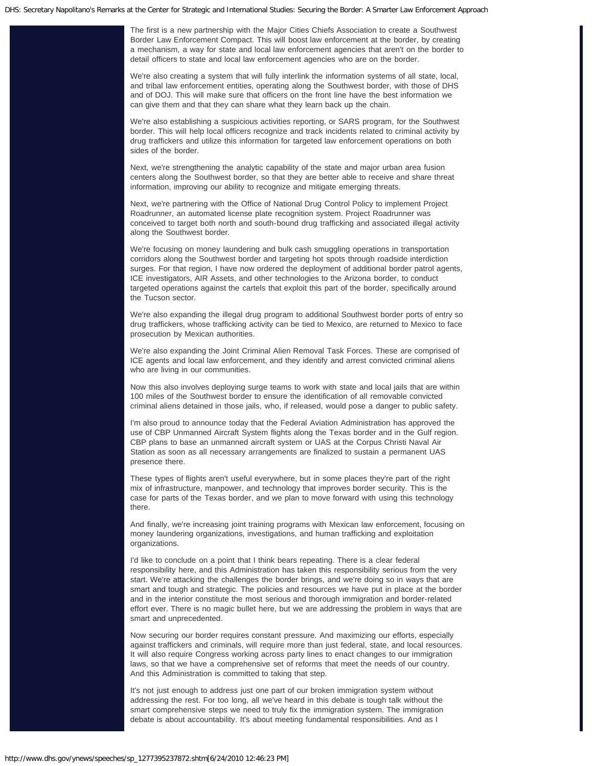The first is a new partnership with the Major Cities Chiefs Association to create a Southwest Border Law Enforcement Compact. This will boost law enforcement at the border, by creating a mechanism, a way for state and local law enforcement agencies that aren't on the border to detail officers to state and local law enforcement agencies who are on the border.

We're also creating a system that will fully interlink the information systems of all state, local, and tribal law enforcement entities, operating along the Southwest border, with those of DHS and of DOJ. This will make sure that officers on the front line have the best information we can give them and that they can share what they learn back up the chain.

We're also establishing a suspicious activities reporting, or SARS program, for the Southwest border. This will help local officers recognize and track incidents related to criminal activity by drug traffickers and utilize this information for targeted law enforcement operations on both sides of the border.

Next, we're strengthening the analytic capability of the state and major urban area fusion centers along the Southwest border, so that they are better able to receive and share threat information, improving our ability to recognize and mitigate emerging threats.

Next, we're partnering with the Office of National Drug Control Policy to implement Project Roadrunner, an automated license plate recognition system. Project Roadrunner was conceived to target both north and south-bound drug trafficking and associated illegal activity along the Southwest border.

We're focusing on money laundering and bulk cash smuggling operations in transportation corridors along the Southwest border and targeting hot spots through roadside interdiction surges. For that region, I have now ordered the deployment of additional border patrol agents, ICE investigators, AIR Assets, and other technologies to the Arizona border, to conduct targeted operations against the cartels that exploit this part of the border, specifically around the Tucson sector.

We're also expanding the illegal drug program to additional Southwest border ports of entry so drug traffickers, whose trafficking activity can be tied to Mexico, are returned to Mexico to face prosecution by Mexican authorities.

We're also expanding the Joint Criminal Alien Removal Task Forces. These are comprised of ICE agents and local law enforcement, and they identify and arrest convicted criminal aliens who are living in our communities.

Now this also involves deploying surge teams to work with state and local jails that are within 100 miles of the Southwest border to ensure the identification of all removable convicted criminal aliens detained in those jails, who, if released, would pose a danger to public safety.

I'm also proud to announce today that the Federal Aviation Administration has approved the use of CBP Unmanned Aircraft System flights along the Texas border and in the Gulf region. CBP plans to base an unmanned aircraft system or UAS at the Corpus Christi Naval Air Station as soon as all necessary arrangements are finalized to sustain a permanent UAS presence there.

These types of flights aren't useful everywhere, but in some places they're part of the right mix of infrastructure, manpower, and technology that improves border security. This is the case for parts of the Texas border, and we plan to move forward with using this technology there.

And finally, we're increasing joint training programs with Mexican law enforcement, focusing on money laundering organizations, investigations, and human trafficking and exploitation organizations.

I'd like to conclude on a point that I think bears repeating. There is a clear federal responsibility here, and this Administration has taken this responsibility serious from the very start. We're attacking the challenges the border brings, and we're doing so in ways that are smart and tough and strategic. The policies and resources we have put in place at the border and in the interior constitute the most serious and thorough immigration and border-related effort ever. There is no magic bullet here, but we are addressing the problem in ways that are smart and unprecedented.

Now securing our border requires constant pressure. And maximizing our efforts, especially against traffickers and criminals, will require more than just federal, state, and local resources. It will also require Congress working across party lines to enact changes to our immigration laws, so that we have a comprehensive set of reforms that meet the needs of our country. And this Administration is committed to taking that step.

It's not just enough to address just one part of our broken immigration system without addressing the rest. For too long, all we've heard in this debate is tough talk without the smart comprehensive steps we need to truly fix the immigration system. The immigration debate is about accountability. It's about meeting fundamental responsibilities. And as I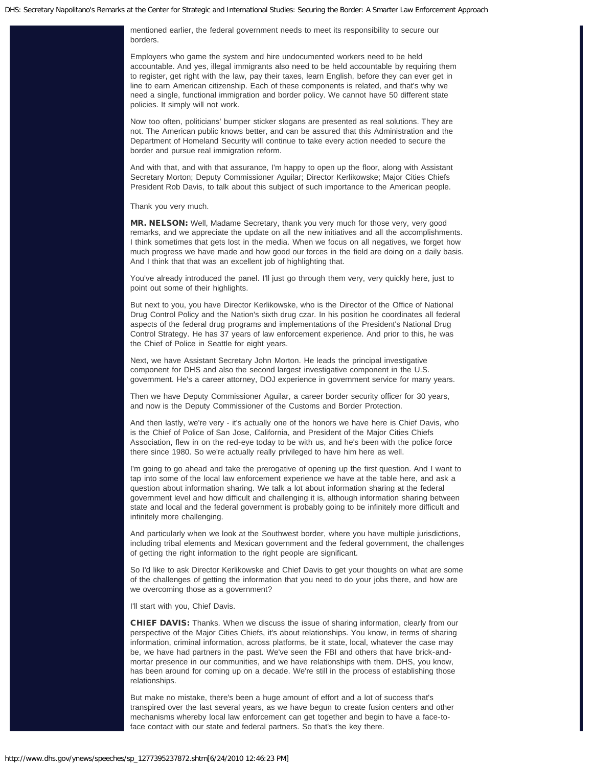mentioned earlier, the federal government needs to meet its responsibility to secure our borders.

Employers who game the system and hire undocumented workers need to be held accountable. And yes, illegal immigrants also need to be held accountable by requiring them to register, get right with the law, pay their taxes, learn English, before they can ever get in line to earn American citizenship. Each of these components is related, and that's why we need a single, functional immigration and border policy. We cannot have 50 different state policies. It simply will not work.

Now too often, politicians' bumper sticker slogans are presented as real solutions. They are not. The American public knows better, and can be assured that this Administration and the Department of Homeland Security will continue to take every action needed to secure the border and pursue real immigration reform.

And with that, and with that assurance, I'm happy to open up the floor, along with Assistant Secretary Morton; Deputy Commissioner Aguilar; Director Kerlikowske; Major Cities Chiefs President Rob Davis, to talk about this subject of such importance to the American people.

Thank you very much.

MR. NELSON: Well, Madame Secretary, thank you very much for those very, very good remarks, and we appreciate the update on all the new initiatives and all the accomplishments. I think sometimes that gets lost in the media. When we focus on all negatives, we forget how much progress we have made and how good our forces in the field are doing on a daily basis. And I think that that was an excellent job of highlighting that.

You've already introduced the panel. I'll just go through them very, very quickly here, just to point out some of their highlights.

But next to you, you have Director Kerlikowske, who is the Director of the Office of National Drug Control Policy and the Nation's sixth drug czar. In his position he coordinates all federal aspects of the federal drug programs and implementations of the President's National Drug Control Strategy. He has 37 years of law enforcement experience. And prior to this, he was the Chief of Police in Seattle for eight years.

Next, we have Assistant Secretary John Morton. He leads the principal investigative component for DHS and also the second largest investigative component in the U.S. government. He's a career attorney, DOJ experience in government service for many years.

Then we have Deputy Commissioner Aguilar, a career border security officer for 30 years, and now is the Deputy Commissioner of the Customs and Border Protection.

And then lastly, we're very - it's actually one of the honors we have here is Chief Davis, who is the Chief of Police of San Jose, California, and President of the Major Cities Chiefs Association, flew in on the red-eye today to be with us, and he's been with the police force there since 1980. So we're actually really privileged to have him here as well.

I'm going to go ahead and take the prerogative of opening up the first question. And I want to tap into some of the local law enforcement experience we have at the table here, and ask a question about information sharing. We talk a lot about information sharing at the federal government level and how difficult and challenging it is, although information sharing between state and local and the federal government is probably going to be infinitely more difficult and infinitely more challenging.

And particularly when we look at the Southwest border, where you have multiple jurisdictions, including tribal elements and Mexican government and the federal government, the challenges of getting the right information to the right people are significant.

So I'd like to ask Director Kerlikowske and Chief Davis to get your thoughts on what are some of the challenges of getting the information that you need to do your jobs there, and how are we overcoming those as a government?

I'll start with you, Chief Davis.

CHIEF DAVIS: Thanks. When we discuss the issue of sharing information, clearly from our perspective of the Major Cities Chiefs, it's about relationships. You know, in terms of sharing information, criminal information, across platforms, be it state, local, whatever the case may be, we have had partners in the past. We've seen the FBI and others that have brick-andmortar presence in our communities, and we have relationships with them. DHS, you know, has been around for coming up on a decade. We're still in the process of establishing those relationships.

But make no mistake, there's been a huge amount of effort and a lot of success that's transpired over the last several years, as we have begun to create fusion centers and other mechanisms whereby local law enforcement can get together and begin to have a face-toface contact with our state and federal partners. So that's the key there.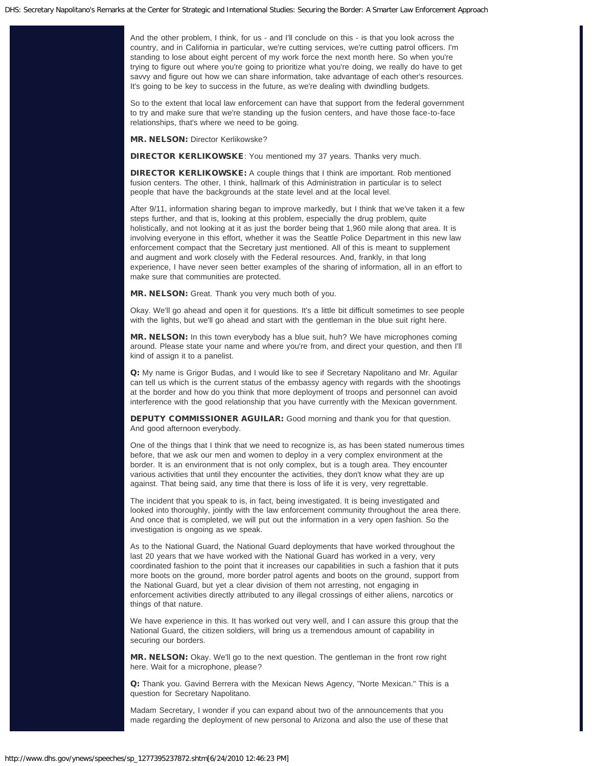And the other problem, I think, for us - and I'll conclude on this - is that you look across the country, and in California in particular, we're cutting services, we're cutting patrol officers. I'm standing to lose about eight percent of my work force the next month here. So when you're trying to figure out where you're going to prioritize what you're doing, we really do have to get savvy and figure out how we can share information, take advantage of each other's resources. It's going to be key to success in the future, as we're dealing with dwindling budgets.

So to the extent that local law enforcement can have that support from the federal government to try and make sure that we're standing up the fusion centers, and have those face-to-face relationships, that's where we need to be going.

MR. NELSON: Director Kerlikowske?

DIRECTOR KERLIKOWSKE: You mentioned my 37 years. Thanks very much.

DIRECTOR KERLIKOWSKE: A couple things that I think are important. Rob mentioned fusion centers. The other, I think, hallmark of this Administration in particular is to select people that have the backgrounds at the state level and at the local level.

After 9/11, information sharing began to improve markedly, but I think that we've taken it a few steps further, and that is, looking at this problem, especially the drug problem, quite holistically, and not looking at it as just the border being that 1,960 mile along that area. It is involving everyone in this effort, whether it was the Seattle Police Department in this new law enforcement compact that the Secretary just mentioned. All of this is meant to supplement and augment and work closely with the Federal resources. And, frankly, in that long experience, I have never seen better examples of the sharing of information, all in an effort to make sure that communities are protected.

MR. NELSON: Great. Thank you very much both of you.

Okay. We'll go ahead and open it for questions. It's a little bit difficult sometimes to see people with the lights, but we'll go ahead and start with the gentleman in the blue suit right here.

MR. NELSON: In this town everybody has a blue suit, huh? We have microphones coming around. Please state your name and where you're from, and direct your question, and then I'll kind of assign it to a panelist.

Q: My name is Grigor Budas, and I would like to see if Secretary Napolitano and Mr. Aguilar can tell us which is the current status of the embassy agency with regards with the shootings at the border and how do you think that more deployment of troops and personnel can avoid interference with the good relationship that you have currently with the Mexican government.

DEPUTY COMMISSIONER AGUILAR: Good morning and thank you for that question. And good afternoon everybody.

One of the things that I think that we need to recognize is, as has been stated numerous times before, that we ask our men and women to deploy in a very complex environment at the border. It is an environment that is not only complex, but is a tough area. They encounter various activities that until they encounter the activities, they don't know what they are up against. That being said, any time that there is loss of life it is very, very regrettable.

The incident that you speak to is, in fact, being investigated. It is being investigated and looked into thoroughly, jointly with the law enforcement community throughout the area there. And once that is completed, we will put out the information in a very open fashion. So the investigation is ongoing as we speak.

As to the National Guard, the National Guard deployments that have worked throughout the last 20 years that we have worked with the National Guard has worked in a very, very coordinated fashion to the point that it increases our capabilities in such a fashion that it puts more boots on the ground, more border patrol agents and boots on the ground, support from the National Guard, but yet a clear division of them not arresting, not engaging in enforcement activities directly attributed to any illegal crossings of either aliens, narcotics or things of that nature.

We have experience in this. It has worked out very well, and I can assure this group that the National Guard, the citizen soldiers, will bring us a tremendous amount of capability in securing our borders.

MR. NELSON: Okay. We'll go to the next question. The gentleman in the front row right here. Wait for a microphone, please?

Q: Thank you. Gavind Berrera with the Mexican News Agency, "Norte Mexican." This is a question for Secretary Napolitano.

Madam Secretary, I wonder if you can expand about two of the announcements that you made regarding the deployment of new personal to Arizona and also the use of these that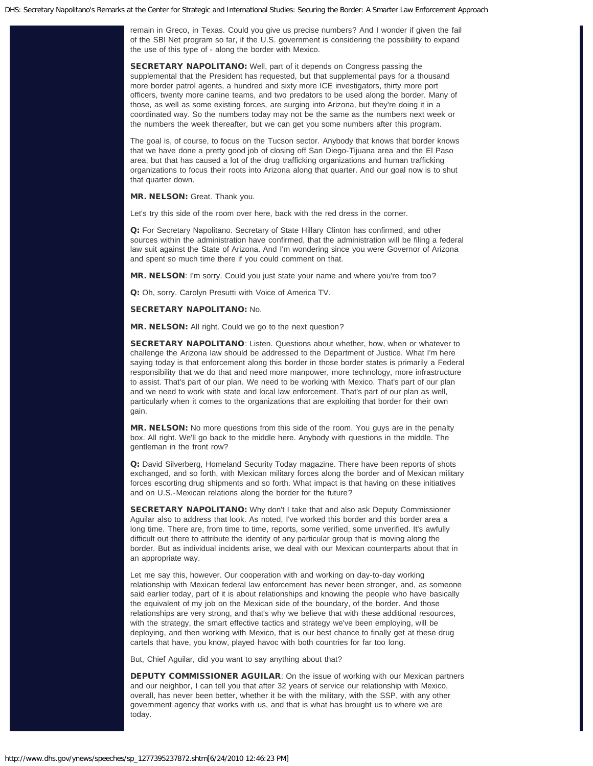remain in Greco, in Texas. Could you give us precise numbers? And I wonder if given the fail of the SBI Net program so far, if the U.S. government is considering the possibility to expand the use of this type of - along the border with Mexico.

SECRETARY NAPOLITANO: Well, part of it depends on Congress passing the supplemental that the President has requested, but that supplemental pays for a thousand more border patrol agents, a hundred and sixty more ICE investigators, thirty more port officers, twenty more canine teams, and two predators to be used along the border. Many of those, as well as some existing forces, are surging into Arizona, but they're doing it in a coordinated way. So the numbers today may not be the same as the numbers next week or the numbers the week thereafter, but we can get you some numbers after this program.

The goal is, of course, to focus on the Tucson sector. Anybody that knows that border knows that we have done a pretty good job of closing off San Diego-Tijuana area and the El Paso area, but that has caused a lot of the drug trafficking organizations and human trafficking organizations to focus their roots into Arizona along that quarter. And our goal now is to shut that quarter down.

MR. NELSON: Great. Thank you.

Let's try this side of the room over here, back with the red dress in the corner.

Q: For Secretary Napolitano. Secretary of State Hillary Clinton has confirmed, and other sources within the administration have confirmed, that the administration will be filing a federal law suit against the State of Arizona. And I'm wondering since you were Governor of Arizona and spent so much time there if you could comment on that.

MR. NELSON: I'm sorry. Could you just state your name and where you're from too?

Q: Oh, sorry. Carolyn Presutti with Voice of America TV.

SECRETARY NAPOLITANO: No.

MR. NELSON: All right. Could we go to the next question?

SECRETARY NAPOLITANO: Listen. Questions about whether, how, when or whatever to challenge the Arizona law should be addressed to the Department of Justice. What I'm here saying today is that enforcement along this border in those border states is primarily a Federal responsibility that we do that and need more manpower, more technology, more infrastructure to assist. That's part of our plan. We need to be working with Mexico. That's part of our plan and we need to work with state and local law enforcement. That's part of our plan as well, particularly when it comes to the organizations that are exploiting that border for their own gain.

**MR. NELSON:** No more questions from this side of the room. You guys are in the penalty box. All right. We'll go back to the middle here. Anybody with questions in the middle. The gentleman in the front row?

Q: David Silverberg, Homeland Security Today magazine. There have been reports of shots exchanged, and so forth, with Mexican military forces along the border and of Mexican military forces escorting drug shipments and so forth. What impact is that having on these initiatives and on U.S.-Mexican relations along the border for the future?

SECRETARY NAPOLITANO: Why don't I take that and also ask Deputy Commissioner Aguilar also to address that look. As noted, I've worked this border and this border area a long time. There are, from time to time, reports, some verified, some unverified. It's awfully difficult out there to attribute the identity of any particular group that is moving along the border. But as individual incidents arise, we deal with our Mexican counterparts about that in an appropriate way.

Let me say this, however. Our cooperation with and working on day-to-day working relationship with Mexican federal law enforcement has never been stronger, and, as someone said earlier today, part of it is about relationships and knowing the people who have basically the equivalent of my job on the Mexican side of the boundary, of the border. And those relationships are very strong, and that's why we believe that with these additional resources, with the strategy, the smart effective tactics and strategy we've been employing, will be deploying, and then working with Mexico, that is our best chance to finally get at these drug cartels that have, you know, played havoc with both countries for far too long.

But, Chief Aguilar, did you want to say anything about that?

DEPUTY COMMISSIONER AGUILAR: On the issue of working with our Mexican partners and our neighbor, I can tell you that after 32 years of service our relationship with Mexico, overall, has never been better, whether it be with the military, with the SSP, with any other government agency that works with us, and that is what has brought us to where we are today.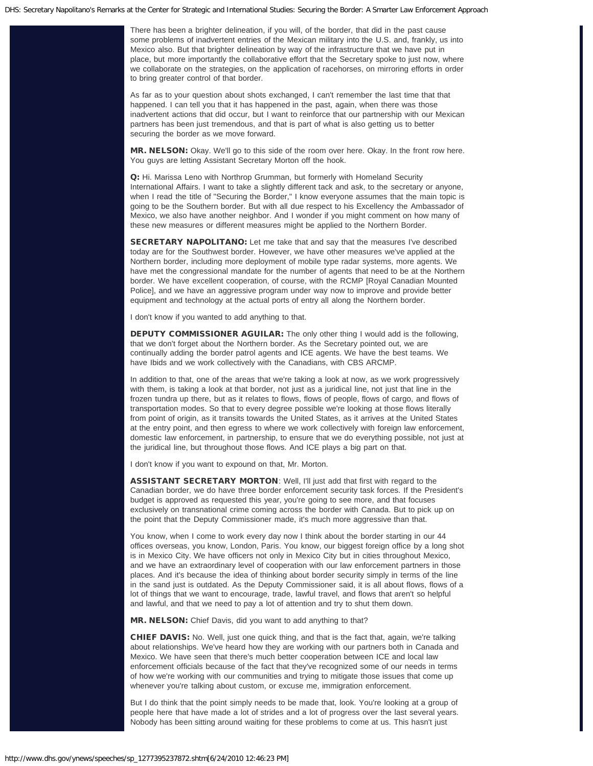There has been a brighter delineation, if you will, of the border, that did in the past cause some problems of inadvertent entries of the Mexican military into the U.S. and, frankly, us into Mexico also. But that brighter delineation by way of the infrastructure that we have put in place, but more importantly the collaborative effort that the Secretary spoke to just now, where we collaborate on the strategies, on the application of racehorses, on mirroring efforts in order to bring greater control of that border.

As far as to your question about shots exchanged, I can't remember the last time that that happened. I can tell you that it has happened in the past, again, when there was those inadvertent actions that did occur, but I want to reinforce that our partnership with our Mexican partners has been just tremendous, and that is part of what is also getting us to better securing the border as we move forward.

MR. NELSON: Okay. We'll go to this side of the room over here. Okay. In the front row here. You guys are letting Assistant Secretary Morton off the hook.

Q: Hi. Marissa Leno with Northrop Grumman, but formerly with Homeland Security International Affairs. I want to take a slightly different tack and ask, to the secretary or anyone, when I read the title of "Securing the Border," I know everyone assumes that the main topic is going to be the Southern border. But with all due respect to his Excellency the Ambassador of Mexico, we also have another neighbor. And I wonder if you might comment on how many of these new measures or different measures might be applied to the Northern Border.

SECRETARY NAPOLITANO: Let me take that and say that the measures I've described today are for the Southwest border. However, we have other measures we've applied at the Northern border, including more deployment of mobile type radar systems, more agents. We have met the congressional mandate for the number of agents that need to be at the Northern border. We have excellent cooperation, of course, with the RCMP [Royal Canadian Mounted Police], and we have an aggressive program under way now to improve and provide better equipment and technology at the actual ports of entry all along the Northern border.

I don't know if you wanted to add anything to that.

DEPUTY COMMISSIONER AGUILAR: The only other thing I would add is the following, that we don't forget about the Northern border. As the Secretary pointed out, we are continually adding the border patrol agents and ICE agents. We have the best teams. We have Ibids and we work collectively with the Canadians, with CBS ARCMP.

In addition to that, one of the areas that we're taking a look at now, as we work progressively with them, is taking a look at that border, not just as a juridical line, not just that line in the frozen tundra up there, but as it relates to flows, flows of people, flows of cargo, and flows of transportation modes. So that to every degree possible we're looking at those flows literally from point of origin, as it transits towards the United States, as it arrives at the United States at the entry point, and then egress to where we work collectively with foreign law enforcement, domestic law enforcement, in partnership, to ensure that we do everything possible, not just at the juridical line, but throughout those flows. And ICE plays a big part on that.

I don't know if you want to expound on that, Mr. Morton.

ASSISTANT SECRETARY MORTON: Well, I'll just add that first with regard to the Canadian border, we do have three border enforcement security task forces. If the President's budget is approved as requested this year, you're going to see more, and that focuses exclusively on transnational crime coming across the border with Canada. But to pick up on the point that the Deputy Commissioner made, it's much more aggressive than that.

You know, when I come to work every day now I think about the border starting in our 44 offices overseas, you know, London, Paris. You know, our biggest foreign office by a long shot is in Mexico City. We have officers not only in Mexico City but in cities throughout Mexico, and we have an extraordinary level of cooperation with our law enforcement partners in those places. And it's because the idea of thinking about border security simply in terms of the line in the sand just is outdated. As the Deputy Commissioner said, it is all about flows, flows of a lot of things that we want to encourage, trade, lawful travel, and flows that aren't so helpful and lawful, and that we need to pay a lot of attention and try to shut them down.

MR. NELSON: Chief Davis, did you want to add anything to that?

CHIEF DAVIS: No. Well, just one quick thing, and that is the fact that, again, we're talking about relationships. We've heard how they are working with our partners both in Canada and Mexico. We have seen that there's much better cooperation between ICE and local law enforcement officials because of the fact that they've recognized some of our needs in terms of how we're working with our communities and trying to mitigate those issues that come up whenever you're talking about custom, or excuse me, immigration enforcement.

But I do think that the point simply needs to be made that, look. You're looking at a group of people here that have made a lot of strides and a lot of progress over the last several years. Nobody has been sitting around waiting for these problems to come at us. This hasn't just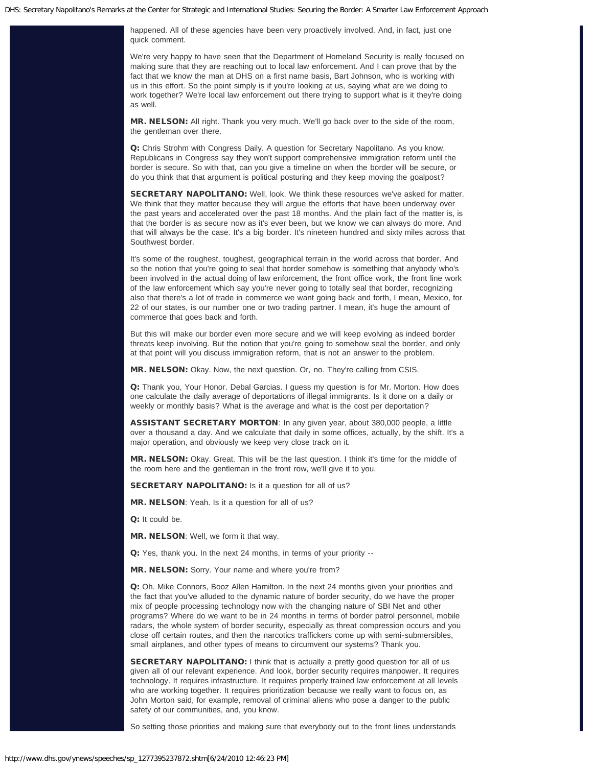happened. All of these agencies have been very proactively involved. And, in fact, just one quick comment.

We're very happy to have seen that the Department of Homeland Security is really focused on making sure that they are reaching out to local law enforcement. And I can prove that by the fact that we know the man at DHS on a first name basis, Bart Johnson, who is working with us in this effort. So the point simply is if you're looking at us, saying what are we doing to work together? We're local law enforcement out there trying to support what is it they're doing as well.

MR. NELSON: All right. Thank you very much. We'll go back over to the side of the room, the gentleman over there.

Q: Chris Strohm with Congress Daily. A question for Secretary Napolitano. As you know, Republicans in Congress say they won't support comprehensive immigration reform until the border is secure. So with that, can you give a timeline on when the border will be secure, or do you think that that argument is political posturing and they keep moving the goalpost?

**SECRETARY NAPOLITANO:** Well, look. We think these resources we've asked for matter. We think that they matter because they will argue the efforts that have been underway over the past years and accelerated over the past 18 months. And the plain fact of the matter is, is that the border is as secure now as it's ever been, but we know we can always do more. And that will always be the case. It's a big border. It's nineteen hundred and sixty miles across that Southwest border.

It's some of the roughest, toughest, geographical terrain in the world across that border. And so the notion that you're going to seal that border somehow is something that anybody who's been involved in the actual doing of law enforcement, the front office work, the front line work of the law enforcement which say you're never going to totally seal that border, recognizing also that there's a lot of trade in commerce we want going back and forth, I mean, Mexico, for 22 of our states, is our number one or two trading partner. I mean, it's huge the amount of commerce that goes back and forth.

But this will make our border even more secure and we will keep evolving as indeed border threats keep involving. But the notion that you're going to somehow seal the border, and only at that point will you discuss immigration reform, that is not an answer to the problem.

MR. NELSON: Okay. Now, the next question. Or, no. They're calling from CSIS.

Q: Thank you, Your Honor. Debal Garcias. I guess my question is for Mr. Morton. How does one calculate the daily average of deportations of illegal immigrants. Is it done on a daily or weekly or monthly basis? What is the average and what is the cost per deportation?

ASSISTANT SECRETARY MORTON: In any given year, about 380,000 people, a little over a thousand a day. And we calculate that daily in some offices, actually, by the shift. It's a major operation, and obviously we keep very close track on it.

MR. NELSON: Okay. Great. This will be the last question. I think it's time for the middle of the room here and the gentleman in the front row, we'll give it to you.

SECRETARY NAPOLITANO: Is it a question for all of us?

MR. NELSON: Yeah. Is it a question for all of us?

Q: It could be.

MR. NELSON: Well, we form it that way.

Q: Yes, thank you. In the next 24 months, in terms of your priority --

MR. NELSON: Sorry. Your name and where you're from?

Q: Oh. Mike Connors, Booz Allen Hamilton. In the next 24 months given your priorities and the fact that you've alluded to the dynamic nature of border security, do we have the proper mix of people processing technology now with the changing nature of SBI Net and other programs? Where do we want to be in 24 months in terms of border patrol personnel, mobile radars, the whole system of border security, especially as threat compression occurs and you close off certain routes, and then the narcotics traffickers come up with semi-submersibles, small airplanes, and other types of means to circumvent our systems? Thank you.

**SECRETARY NAPOLITANO:** I think that is actually a pretty good question for all of us given all of our relevant experience. And look, border security requires manpower. It requires technology. It requires infrastructure. It requires properly trained law enforcement at all levels who are working together. It requires prioritization because we really want to focus on, as John Morton said, for example, removal of criminal aliens who pose a danger to the public safety of our communities, and, you know.

So setting those priorities and making sure that everybody out to the front lines understands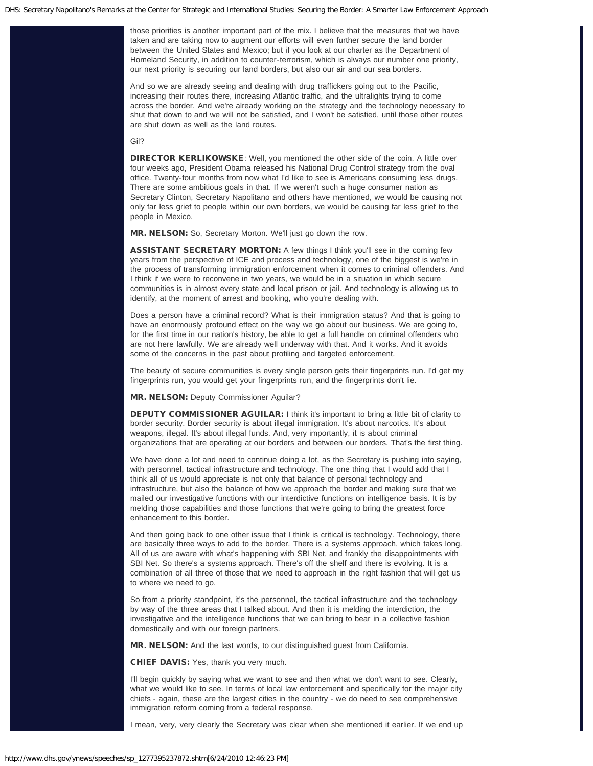those priorities is another important part of the mix. I believe that the measures that we have taken and are taking now to augment our efforts will even further secure the land border between the United States and Mexico; but if you look at our charter as the Department of Homeland Security, in addition to counter-terrorism, which is always our number one priority, our next priority is securing our land borders, but also our air and our sea borders.

And so we are already seeing and dealing with drug traffickers going out to the Pacific, increasing their routes there, increasing Atlantic traffic, and the ultralights trying to come across the border. And we're already working on the strategy and the technology necessary to shut that down to and we will not be satisfied, and I won't be satisfied, until those other routes are shut down as well as the land routes.

#### Gil?

DIRECTOR KERLIKOWSKE: Well, you mentioned the other side of the coin. A little over four weeks ago, President Obama released his National Drug Control strategy from the oval office. Twenty-four months from now what I'd like to see is Americans consuming less drugs. There are some ambitious goals in that. If we weren't such a huge consumer nation as Secretary Clinton, Secretary Napolitano and others have mentioned, we would be causing not only far less grief to people within our own borders, we would be causing far less grief to the people in Mexico.

MR. NELSON: So, Secretary Morton. We'll just go down the row.

ASSISTANT SECRETARY MORTON: A few things I think you'll see in the coming few years from the perspective of ICE and process and technology, one of the biggest is we're in the process of transforming immigration enforcement when it comes to criminal offenders. And I think if we were to reconvene in two years, we would be in a situation in which secure communities is in almost every state and local prison or jail. And technology is allowing us to identify, at the moment of arrest and booking, who you're dealing with.

Does a person have a criminal record? What is their immigration status? And that is going to have an enormously profound effect on the way we go about our business. We are going to, for the first time in our nation's history, be able to get a full handle on criminal offenders who are not here lawfully. We are already well underway with that. And it works. And it avoids some of the concerns in the past about profiling and targeted enforcement.

The beauty of secure communities is every single person gets their fingerprints run. I'd get my fingerprints run, you would get your fingerprints run, and the fingerprints don't lie.

MR. NELSON: Deputy Commissioner Aguilar?

DEPUTY COMMISSIONER AGUILAR: I think it's important to bring a little bit of clarity to border security. Border security is about illegal immigration. It's about narcotics. It's about weapons, illegal. It's about illegal funds. And, very importantly, it is about criminal organizations that are operating at our borders and between our borders. That's the first thing.

We have done a lot and need to continue doing a lot, as the Secretary is pushing into saying, with personnel, tactical infrastructure and technology. The one thing that I would add that I think all of us would appreciate is not only that balance of personal technology and infrastructure, but also the balance of how we approach the border and making sure that we mailed our investigative functions with our interdictive functions on intelligence basis. It is by melding those capabilities and those functions that we're going to bring the greatest force enhancement to this border.

And then going back to one other issue that I think is critical is technology. Technology, there are basically three ways to add to the border. There is a systems approach, which takes long. All of us are aware with what's happening with SBI Net, and frankly the disappointments with SBI Net. So there's a systems approach. There's off the shelf and there is evolving. It is a combination of all three of those that we need to approach in the right fashion that will get us to where we need to go.

So from a priority standpoint, it's the personnel, the tactical infrastructure and the technology by way of the three areas that I talked about. And then it is melding the interdiction, the investigative and the intelligence functions that we can bring to bear in a collective fashion domestically and with our foreign partners.

MR. NELSON: And the last words, to our distinguished guest from California.

CHIEF DAVIS: Yes, thank you very much.

I'll begin quickly by saying what we want to see and then what we don't want to see. Clearly, what we would like to see. In terms of local law enforcement and specifically for the major city chiefs - again, these are the largest cities in the country - we do need to see comprehensive immigration reform coming from a federal response.

I mean, very, very clearly the Secretary was clear when she mentioned it earlier. If we end up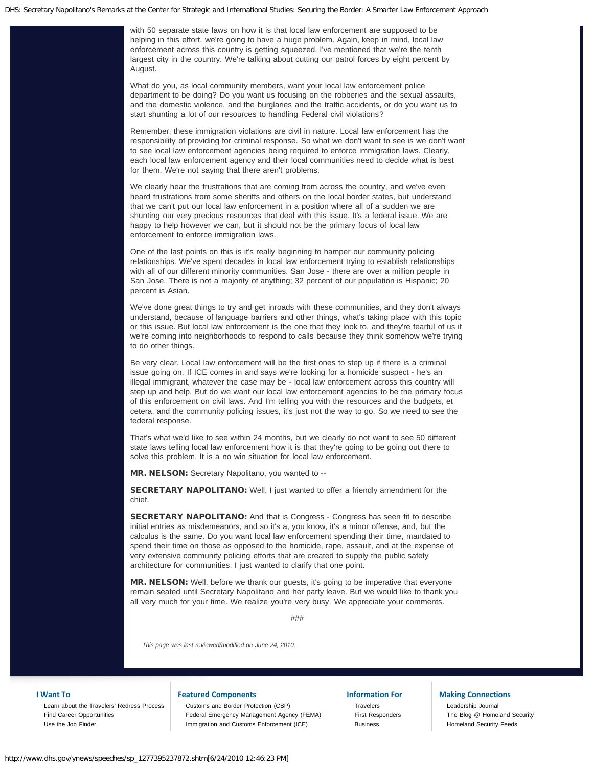with 50 separate state laws on how it is that local law enforcement are supposed to be helping in this effort, we're going to have a huge problem. Again, keep in mind, local law enforcement across this country is getting squeezed. I've mentioned that we're the tenth largest city in the country. We're talking about cutting our patrol forces by eight percent by August.

What do you, as local community members, want your local law enforcement police department to be doing? Do you want us focusing on the robberies and the sexual assaults, and the domestic violence, and the burglaries and the traffic accidents, or do you want us to start shunting a lot of our resources to handling Federal civil violations?

Remember, these immigration violations are civil in nature. Local law enforcement has the responsibility of providing for criminal response. So what we don't want to see is we don't want to see local law enforcement agencies being required to enforce immigration laws. Clearly, each local law enforcement agency and their local communities need to decide what is best for them. We're not saying that there aren't problems.

We clearly hear the frustrations that are coming from across the country, and we've even heard frustrations from some sheriffs and others on the local border states, but understand that we can't put our local law enforcement in a position where all of a sudden we are shunting our very precious resources that deal with this issue. It's a federal issue. We are happy to help however we can, but it should not be the primary focus of local law enforcement to enforce immigration laws.

One of the last points on this is it's really beginning to hamper our community policing relationships. We've spent decades in local law enforcement trying to establish relationships with all of our different minority communities. San Jose - there are over a million people in San Jose. There is not a majority of anything; 32 percent of our population is Hispanic; 20 percent is Asian.

We've done great things to try and get inroads with these communities, and they don't always understand, because of language barriers and other things, what's taking place with this topic or this issue. But local law enforcement is the one that they look to, and they're fearful of us if we're coming into neighborhoods to respond to calls because they think somehow we're trying to do other things.

Be very clear. Local law enforcement will be the first ones to step up if there is a criminal issue going on. If ICE comes in and says we're looking for a homicide suspect - he's an illegal immigrant, whatever the case may be - local law enforcement across this country will step up and help. But do we want our local law enforcement agencies to be the primary focus of this enforcement on civil laws. And I'm telling you with the resources and the budgets, et cetera, and the community policing issues, it's just not the way to go. So we need to see the federal response.

That's what we'd like to see within 24 months, but we clearly do not want to see 50 different state laws telling local law enforcement how it is that they're going to be going out there to solve this problem. It is a no win situation for local law enforcement.

MR. NELSON: Secretary Napolitano, you wanted to --

SECRETARY NAPOLITANO: Well, I just wanted to offer a friendly amendment for the chief.

SECRETARY NAPOLITANO: And that is Congress - Congress has seen fit to describe initial entries as misdemeanors, and so it's a, you know, it's a minor offense, and, but the calculus is the same. Do you want local law enforcement spending their time, mandated to spend their time on those as opposed to the homicide, rape, assault, and at the expense of very extensive community policing efforts that are created to supply the public safety architecture for communities. I just wanted to clarify that one point.

MR. NELSON: Well, before we thank our guests, it's going to be imperative that everyone remain seated until Secretary Napolitano and her party leave. But we would like to thank you all very much for your time. We realize you're very busy. We appreciate your comments.

###

*This page was last reviewed/modified on June 24, 2010.*

### **I Want To**

[Learn about the Travelers' Redress Process](http://www.dhs.gov/files/programs/gc_1169673653081.shtm) [Find Career Opportunities](http://www.dhs.gov/xabout/careers/content_multi_image_0014.shtm) [Use the Job Finder](http://www.dhs.gov/xabout/careers/jobfinder.shtm)

#### **Featured Components**

[Customs and Border Protection \(CBP\)](http://cbp.gov/) [Federal Emergency Management Agency \(FEMA\)](http://www.fema.gov/) [Immigration and Customs Enforcement \(ICE\)](http://www.ice.gov/)

# **Information For**

[Travelers](http://www.dhs.gov/files/travelers.shtm) [First Responders](http://www.dhs.gov/xfrstresp/) **[Business](http://www.dhs.gov/xbsnss/)** 

## **Making Connections**

[Leadership Journal](http://journal.dhs.gov/) [The Blog @ Homeland Security](http://blog.dhs.gov/) [Homeland Security Feeds](http://www.dhs.gov/xutil/feeds.shtm)